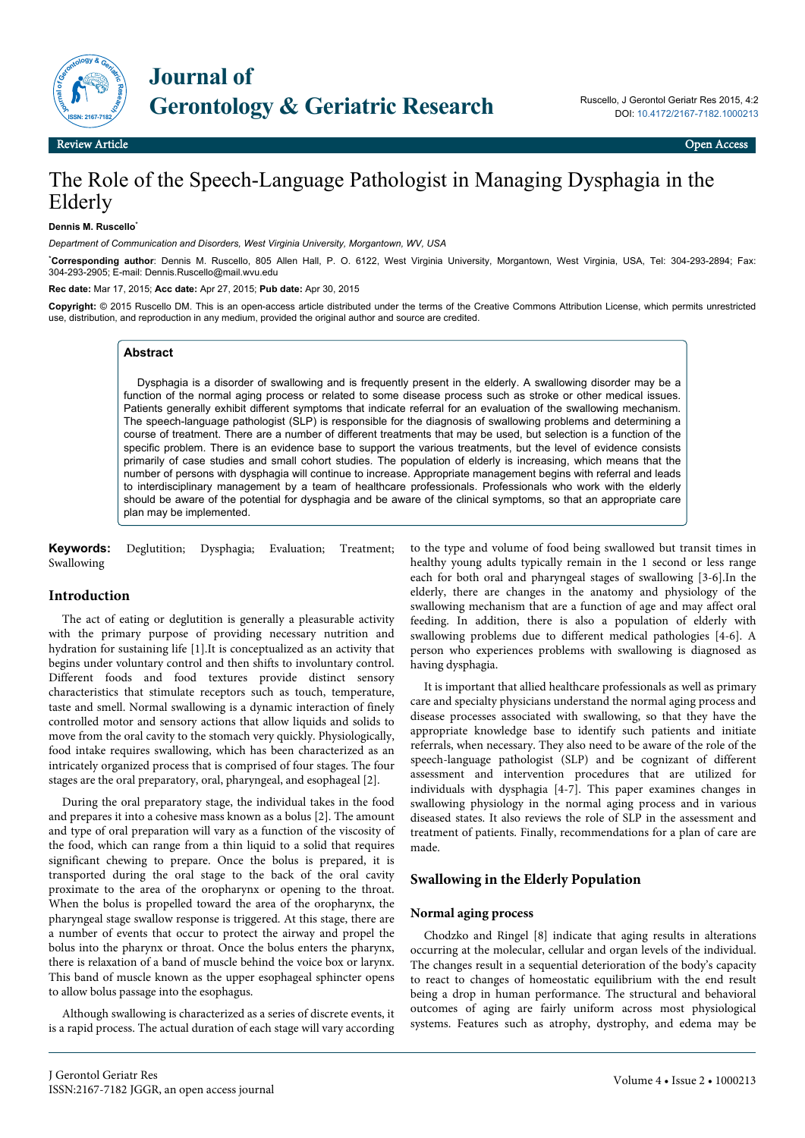

# The Role of the Speech-Language Pathologist in Managing Dysphagia in the Elderly

#### **Dennis M. Ruscello**\*

*Department of Communication and Disorders, West Virginia University, Morgantown, WV, USA*

\***Corresponding author**: Dennis M. Ruscello, 805 Allen Hall, P. O. 6122, West Virginia University, Morgantown, West Virginia, USA, Tel: 304-293-2894; Fax: 304-293-2905; E-mail: Dennis.Ruscello@mail.wvu.edu

**Rec date:** Mar 17, 2015; **Acc date:** Apr 27, 2015; **Pub date:** Apr 30, 2015

**Copyright:** © 2015 Ruscello DM. This is an open-access article distributed under the terms of the Creative Commons Attribution License, which permits unrestricted use, distribution, and reproduction in any medium, provided the original author and source are credited.

# **Abstract**

Dysphagia is a disorder of swallowing and is frequently present in the elderly. A swallowing disorder may be a function of the normal aging process or related to some disease process such as stroke or other medical issues. Patients generally exhibit different symptoms that indicate referral for an evaluation of the swallowing mechanism. The speech-language pathologist (SLP) is responsible for the diagnosis of swallowing problems and determining a course of treatment. There are a number of different treatments that may be used, but selection is a function of the specific problem. There is an evidence base to support the various treatments, but the level of evidence consists primarily of case studies and small cohort studies. The population of elderly is increasing, which means that the number of persons with dysphagia will continue to increase. Appropriate management begins with referral and leads to interdisciplinary management by a team of healthcare professionals. Professionals who work with the elderly should be aware of the potential for dysphagia and be aware of the clinical symptoms, so that an appropriate care plan may be implemented.

**Keywords:** Deglutition; Dysphagia; Evaluation; Treatment; Swallowing

#### **Introduction**

The act of eating or deglutition is generally a pleasurable activity with the primary purpose of providing necessary nutrition and hydration for sustaining life [1].It is conceptualized as an activity that begins under voluntary control and then shifts to involuntary control. Different foods and food textures provide distinct sensory characteristics that stimulate receptors such as touch, temperature, taste and smell. Normal swallowing is a dynamic interaction of finely controlled motor and sensory actions that allow liquids and solids to move from the oral cavity to the stomach very quickly. Physiologically, food intake requires swallowing, which has been characterized as an intricately organized process that is comprised of four stages. The four stages are the oral preparatory, oral, pharyngeal, and esophageal [2].

During the oral preparatory stage, the individual takes in the food and prepares it into a cohesive mass known as a bolus [2]. The amount and type of oral preparation will vary as a function of the viscosity of the food, which can range from a thin liquid to a solid that requires significant chewing to prepare. Once the bolus is prepared, it is transported during the oral stage to the back of the oral cavity proximate to the area of the oropharynx or opening to the throat. When the bolus is propelled toward the area of the oropharynx, the pharyngeal stage swallow response is triggered. At this stage, there are a number of events that occur to protect the airway and propel the bolus into the pharynx or throat. Once the bolus enters the pharynx, there is relaxation of a band of muscle behind the voice box or larynx. This band of muscle known as the upper esophageal sphincter opens to allow bolus passage into the esophagus.

Although swallowing is characterized as a series of discrete events, it is a rapid process. The actual duration of each stage will vary according

to the type and volume of food being swallowed but transit times in healthy young adults typically remain in the 1 second or less range each for both oral and pharyngeal stages of swallowing [3-6].In the elderly, there are changes in the anatomy and physiology of the swallowing mechanism that are a function of age and may affect oral feeding. In addition, there is also a population of elderly with swallowing problems due to different medical pathologies [4-6]. A person who experiences problems with swallowing is diagnosed as having dysphagia.

It is important that allied healthcare professionals as well as primary care and specialty physicians understand the normal aging process and disease processes associated with swallowing, so that they have the appropriate knowledge base to identify such patients and initiate referrals, when necessary. They also need to be aware of the role of the speech-language pathologist (SLP) and be cognizant of different assessment and intervention procedures that are utilized for individuals with dysphagia [4-7]. This paper examines changes in swallowing physiology in the normal aging process and in various diseased states. It also reviews the role of SLP in the assessment and treatment of patients. Finally, recommendations for a plan of care are made.

# **Swallowing in the Elderly Population**

#### **Normal aging process**

Chodzko and Ringel [8] indicate that aging results in alterations occurring at the molecular, cellular and organ levels of the individual. The changes result in a sequential deterioration of the body's capacity to react to changes of homeostatic equilibrium with the end result being a drop in human performance. The structural and behavioral outcomes of aging are fairly uniform across most physiological systems. Features such as atrophy, dystrophy, and edema may be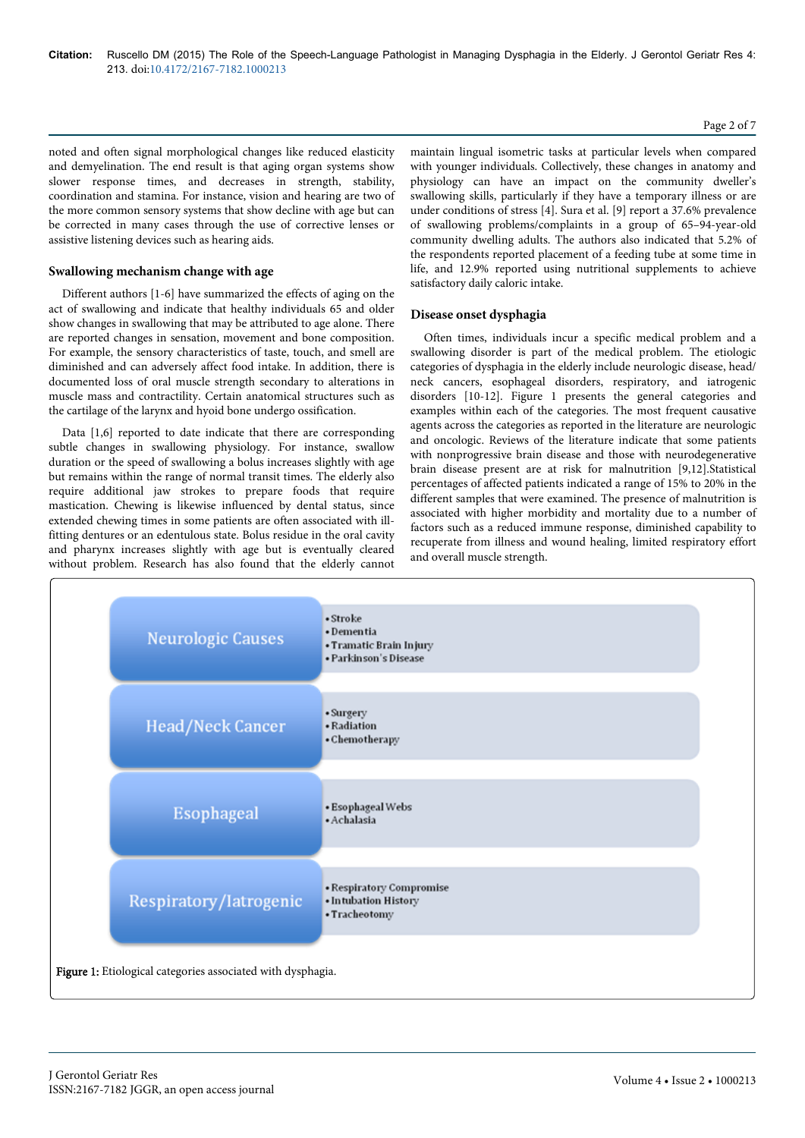#### Page 2 of 7

noted and often signal morphological changes like reduced elasticity and demyelination. The end result is that aging organ systems show slower response times, and decreases in strength, stability, coordination and stamina. For instance, vision and hearing are two of the more common sensory systems that show decline with age but can be corrected in many cases through the use of corrective lenses or assistive listening devices such as hearing aids.

# **Swallowing mechanism change with age**

Different authors [1-6] have summarized the effects of aging on the act of swallowing and indicate that healthy individuals 65 and older show changes in swallowing that may be attributed to age alone. There are reported changes in sensation, movement and bone composition. For example, the sensory characteristics of taste, touch, and smell are diminished and can adversely affect food intake. In addition, there is documented loss of oral muscle strength secondary to alterations in muscle mass and contractility. Certain anatomical structures such as the cartilage of the larynx and hyoid bone undergo ossification.

Data [1,6] reported to date indicate that there are corresponding subtle changes in swallowing physiology. For instance, swallow duration or the speed of swallowing a bolus increases slightly with age but remains within the range of normal transit times. The elderly also require additional jaw strokes to prepare foods that require mastication. Chewing is likewise influenced by dental status, since extended chewing times in some patients are often associated with illfitting dentures or an edentulous state. Bolus residue in the oral cavity and pharynx increases slightly with age but is eventually cleared without problem. Research has also found that the elderly cannot maintain lingual isometric tasks at particular levels when compared with younger individuals. Collectively, these changes in anatomy and physiology can have an impact on the community dweller's swallowing skills, particularly if they have a temporary illness or are under conditions of stress [4]. Sura et al. [9] report a 37.6% prevalence of swallowing problems/complaints in a group of 65–94-year-old community dwelling adults. The authors also indicated that 5.2% of the respondents reported placement of a feeding tube at some time in life, and 12.9% reported using nutritional supplements to achieve satisfactory daily caloric intake.

# **Disease onset dysphagia**

Often times, individuals incur a specific medical problem and a swallowing disorder is part of the medical problem. The etiologic categories of dysphagia in the elderly include neurologic disease, head/ neck cancers, esophageal disorders, respiratory, and iatrogenic disorders [10-12]. Figure 1 presents the general categories and examples within each of the categories. The most frequent causative agents across the categories as reported in the literature are neurologic and oncologic. Reviews of the literature indicate that some patients with nonprogressive brain disease and those with neurodegenerative brain disease present are at risk for malnutrition [9,12].Statistical percentages of affected patients indicated a range of 15% to 20% in the different samples that were examined. The presence of malnutrition is associated with higher morbidity and mortality due to a number of factors such as a reduced immune response, diminished capability to recuperate from illness and wound healing, limited respiratory effort and overall muscle strength.

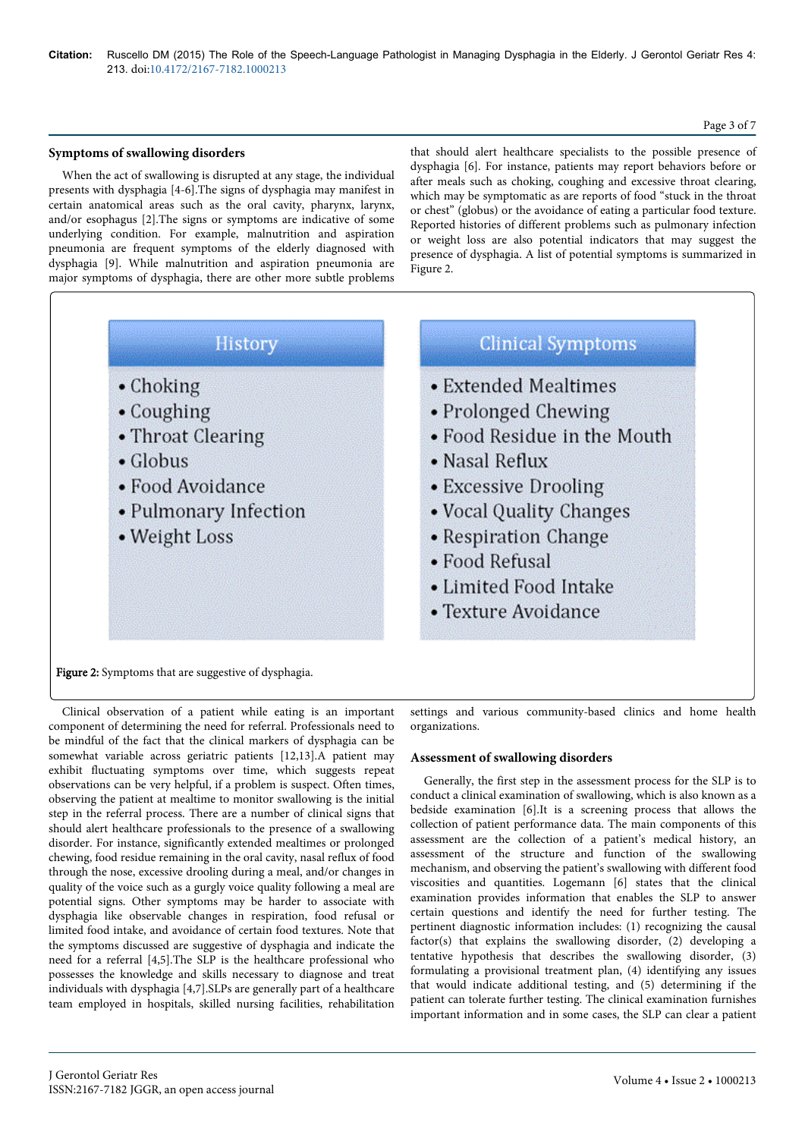# Page 3 of 7

# **Symptoms of swallowing disorders**

When the act of swallowing is disrupted at any stage, the individual presents with dysphagia [4-6].The signs of dysphagia may manifest in certain anatomical areas such as the oral cavity, pharynx, larynx, and/or esophagus [2].The signs or symptoms are indicative of some underlying condition. For example, malnutrition and aspiration pneumonia are frequent symptoms of the elderly diagnosed with dysphagia [9]. While malnutrition and aspiration pneumonia are major symptoms of dysphagia, there are other more subtle problems that should alert healthcare specialists to the possible presence of dysphagia [6]. For instance, patients may report behaviors before or after meals such as choking, coughing and excessive throat clearing, which may be symptomatic as are reports of food "stuck in the throat or chest" (globus) or the avoidance of eating a particular food texture. Reported histories of different problems such as pulmonary infection or weight loss are also potential indicators that may suggest the presence of dysphagia. A list of potential symptoms is summarized in Figure 2.



Figure 2: Symptoms that are suggestive of dysphagia.

Clinical observation of a patient while eating is an important component of determining the need for referral. Professionals need to be mindful of the fact that the clinical markers of dysphagia can be somewhat variable across geriatric patients [12,13]. A patient may exhibit fluctuating symptoms over time, which suggests repeat observations can be very helpful, if a problem is suspect. Often times, observing the patient at mealtime to monitor swallowing is the initial step in the referral process. There are a number of clinical signs that should alert healthcare professionals to the presence of a swallowing disorder. For instance, significantly extended mealtimes or prolonged chewing, food residue remaining in the oral cavity, nasal reflux of food through the nose, excessive drooling during a meal, and/or changes in quality of the voice such as a gurgly voice quality following a meal are potential signs. Other symptoms may be harder to associate with dysphagia like observable changes in respiration, food refusal or limited food intake, and avoidance of certain food textures. Note that the symptoms discussed are suggestive of dysphagia and indicate the need for a referral [4,5].The SLP is the healthcare professional who possesses the knowledge and skills necessary to diagnose and treat individuals with dysphagia [4,7].SLPs are generally part of a healthcare team employed in hospitals, skilled nursing facilities, rehabilitation

settings and various community-based clinics and home health organizations.

# **Assessment of swallowing disorders**

Generally, the first step in the assessment process for the SLP is to conduct a clinical examination of swallowing, which is also known as a bedside examination [6].It is a screening process that allows the collection of patient performance data. The main components of this assessment are the collection of a patient's medical history, an assessment of the structure and function of the swallowing mechanism, and observing the patient's swallowing with different food viscosities and quantities. Logemann [6] states that the clinical examination provides information that enables the SLP to answer certain questions and identify the need for further testing. The pertinent diagnostic information includes: (1) recognizing the causal factor(s) that explains the swallowing disorder, (2) developing a tentative hypothesis that describes the swallowing disorder, (3) formulating a provisional treatment plan, (4) identifying any issues that would indicate additional testing, and (5) determining if the patient can tolerate further testing. The clinical examination furnishes important information and in some cases, the SLP can clear a patient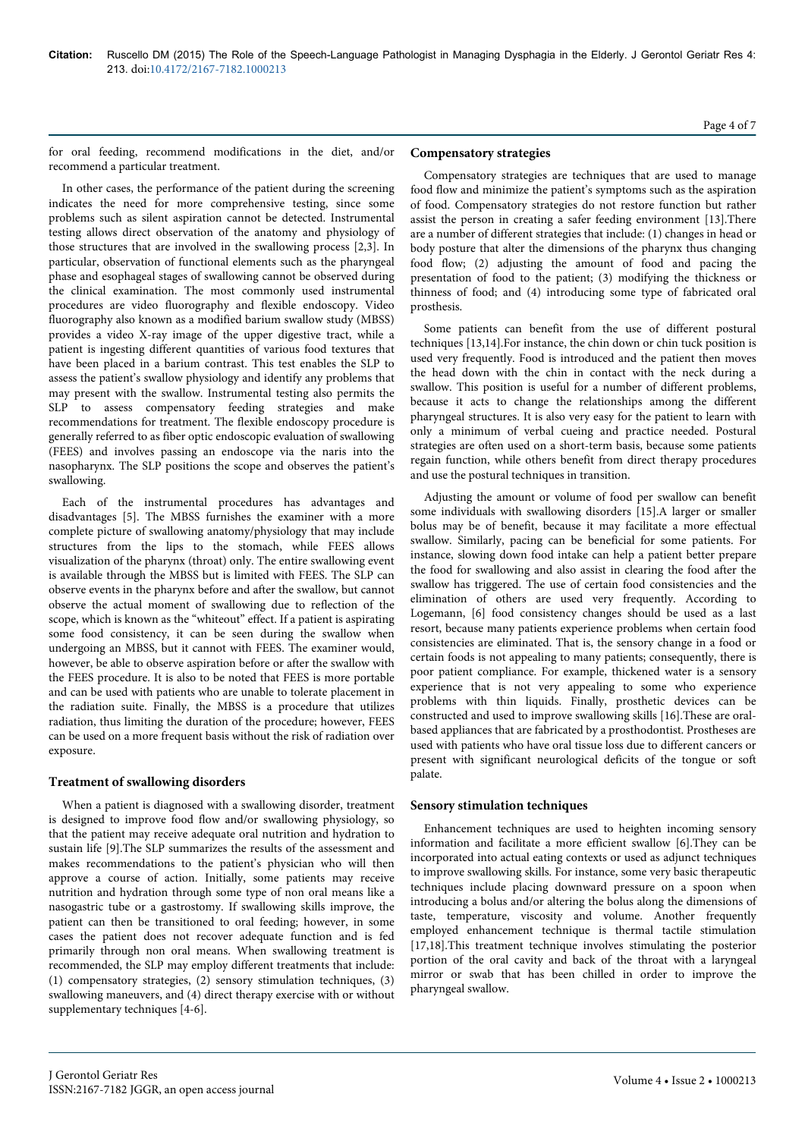for oral feeding, recommend modifications in the diet, and/or recommend a particular treatment.

In other cases, the performance of the patient during the screening indicates the need for more comprehensive testing, since some problems such as silent aspiration cannot be detected. Instrumental testing allows direct observation of the anatomy and physiology of those structures that are involved in the swallowing process [2,3]. In particular, observation of functional elements such as the pharyngeal phase and esophageal stages of swallowing cannot be observed during the clinical examination. The most commonly used instrumental procedures are video fluorography and flexible endoscopy. Video fluorography also known as a modified barium swallow study (MBSS) provides a video X-ray image of the upper digestive tract, while a patient is ingesting different quantities of various food textures that have been placed in a barium contrast. This test enables the SLP to assess the patient's swallow physiology and identify any problems that may present with the swallow. Instrumental testing also permits the SLP to assess compensatory feeding strategies and make recommendations for treatment. The flexible endoscopy procedure is generally referred to as fiber optic endoscopic evaluation of swallowing (FEES) and involves passing an endoscope via the naris into the nasopharynx. The SLP positions the scope and observes the patient's swallowing.

Each of the instrumental procedures has advantages and disadvantages [5]. The MBSS furnishes the examiner with a more complete picture of swallowing anatomy/physiology that may include structures from the lips to the stomach, while FEES allows visualization of the pharynx (throat) only. The entire swallowing event is available through the MBSS but is limited with FEES. The SLP can observe events in the pharynx before and after the swallow, but cannot observe the actual moment of swallowing due to reflection of the scope, which is known as the "whiteout" effect. If a patient is aspirating some food consistency, it can be seen during the swallow when undergoing an MBSS, but it cannot with FEES. The examiner would, however, be able to observe aspiration before or after the swallow with the FEES procedure. It is also to be noted that FEES is more portable and can be used with patients who are unable to tolerate placement in the radiation suite. Finally, the MBSS is a procedure that utilizes radiation, thus limiting the duration of the procedure; however, FEES can be used on a more frequent basis without the risk of radiation over exposure.

# **Treatment of swallowing disorders**

When a patient is diagnosed with a swallowing disorder, treatment is designed to improve food flow and/or swallowing physiology, so that the patient may receive adequate oral nutrition and hydration to sustain life [9].The SLP summarizes the results of the assessment and makes recommendations to the patient's physician who will then approve a course of action. Initially, some patients may receive nutrition and hydration through some type of non oral means like a nasogastric tube or a gastrostomy. If swallowing skills improve, the patient can then be transitioned to oral feeding; however, in some cases the patient does not recover adequate function and is fed primarily through non oral means. When swallowing treatment is recommended, the SLP may employ different treatments that include: (1) compensatory strategies, (2) sensory stimulation techniques, (3) swallowing maneuvers, and (4) direct therapy exercise with or without supplementary techniques [4-6].

# **Compensatory strategies**

Compensatory strategies are techniques that are used to manage food flow and minimize the patient's symptoms such as the aspiration of food. Compensatory strategies do not restore function but rather assist the person in creating a safer feeding environment [13].There are a number of different strategies that include: (1) changes in head or body posture that alter the dimensions of the pharynx thus changing food flow; (2) adjusting the amount of food and pacing the presentation of food to the patient; (3) modifying the thickness or thinness of food; and (4) introducing some type of fabricated oral prosthesis.

Some patients can benefit from the use of different postural techniques [13,14].For instance, the chin down or chin tuck position is used very frequently. Food is introduced and the patient then moves the head down with the chin in contact with the neck during a swallow. This position is useful for a number of different problems, because it acts to change the relationships among the different pharyngeal structures. It is also very easy for the patient to learn with only a minimum of verbal cueing and practice needed. Postural strategies are often used on a short-term basis, because some patients regain function, while others benefit from direct therapy procedures and use the postural techniques in transition.

Adjusting the amount or volume of food per swallow can benefit some individuals with swallowing disorders [15].A larger or smaller bolus may be of benefit, because it may facilitate a more effectual swallow. Similarly, pacing can be beneficial for some patients. For instance, slowing down food intake can help a patient better prepare the food for swallowing and also assist in clearing the food after the swallow has triggered. The use of certain food consistencies and the elimination of others are used very frequently. According to Logemann, [6] food consistency changes should be used as a last resort, because many patients experience problems when certain food consistencies are eliminated. That is, the sensory change in a food or certain foods is not appealing to many patients; consequently, there is poor patient compliance. For example, thickened water is a sensory experience that is not very appealing to some who experience problems with thin liquids. Finally, prosthetic devices can be constructed and used to improve swallowing skills [16].These are oralbased appliances that are fabricated by a prosthodontist. Prostheses are used with patients who have oral tissue loss due to different cancers or present with significant neurological deficits of the tongue or soft palate.

# **Sensory stimulation techniques**

Enhancement techniques are used to heighten incoming sensory information and facilitate a more efficient swallow [6].They can be incorporated into actual eating contexts or used as adjunct techniques to improve swallowing skills. For instance, some very basic therapeutic techniques include placing downward pressure on a spoon when introducing a bolus and/or altering the bolus along the dimensions of taste, temperature, viscosity and volume. Another frequently employed enhancement technique is thermal tactile stimulation [17,18].This treatment technique involves stimulating the posterior portion of the oral cavity and back of the throat with a laryngeal mirror or swab that has been chilled in order to improve the pharyngeal swallow.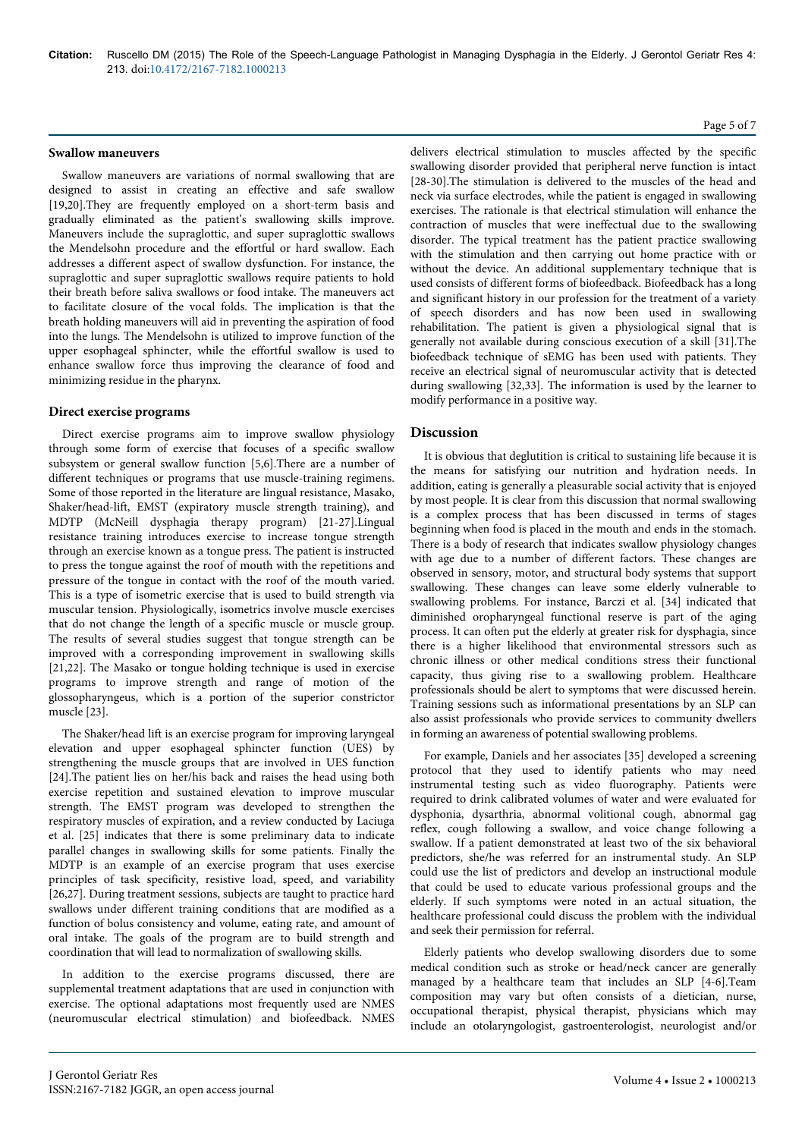### **Swallow maneuvers**

Swallow maneuvers are variations of normal swallowing that are designed to assist in creating an effective and safe swallow [19,20].They are frequently employed on a short-term basis and gradually eliminated as the patient's swallowing skills improve. Maneuvers include the supraglottic, and super supraglottic swallows the Mendelsohn procedure and the effortful or hard swallow. Each addresses a different aspect of swallow dysfunction. For instance, the supraglottic and super supraglottic swallows require patients to hold their breath before saliva swallows or food intake. The maneuvers act to facilitate closure of the vocal folds. The implication is that the breath holding maneuvers will aid in preventing the aspiration of food into the lungs. The Mendelsohn is utilized to improve function of the upper esophageal sphincter, while the effortful swallow is used to enhance swallow force thus improving the clearance of food and minimizing residue in the pharynx.

# **Direct exercise programs**

Direct exercise programs aim to improve swallow physiology through some form of exercise that focuses of a specific swallow subsystem or general swallow function [5,6].There are a number of different techniques or programs that use muscle-training regimens. Some of those reported in the literature are lingual resistance, Masako, Shaker/head-lift, EMST (expiratory muscle strength training), and MDTP (McNeill dysphagia therapy program) [21-27].Lingual resistance training introduces exercise to increase tongue strength through an exercise known as a tongue press. The patient is instructed to press the tongue against the roof of mouth with the repetitions and pressure of the tongue in contact with the roof of the mouth varied. This is a type of isometric exercise that is used to build strength via muscular tension. Physiologically, isometrics involve muscle exercises that do not change the length of a specific muscle or muscle group. The results of several studies suggest that tongue strength can be improved with a corresponding improvement in swallowing skills [21,22]. The Masako or tongue holding technique is used in exercise programs to improve strength and range of motion of the glossopharyngeus, which is a portion of the superior constrictor muscle [23].

The Shaker/head lift is an exercise program for improving laryngeal elevation and upper esophageal sphincter function (UES) by strengthening the muscle groups that are involved in UES function [24].The patient lies on her/his back and raises the head using both exercise repetition and sustained elevation to improve muscular strength. The EMST program was developed to strengthen the respiratory muscles of expiration, and a review conducted by Laciuga et al. [25] indicates that there is some preliminary data to indicate parallel changes in swallowing skills for some patients. Finally the MDTP is an example of an exercise program that uses exercise principles of task specificity, resistive load, speed, and variability [26,27]. During treatment sessions, subjects are taught to practice hard swallows under different training conditions that are modified as a function of bolus consistency and volume, eating rate, and amount of oral intake. The goals of the program are to build strength and coordination that will lead to normalization of swallowing skills.

In addition to the exercise programs discussed, there are supplemental treatment adaptations that are used in conjunction with exercise. The optional adaptations most frequently used are NMES (neuromuscular electrical stimulation) and biofeedback. NMES

Page 5 of 7

delivers electrical stimulation to muscles affected by the specific swallowing disorder provided that peripheral nerve function is intact [28-30].The stimulation is delivered to the muscles of the head and neck via surface electrodes, while the patient is engaged in swallowing exercises. The rationale is that electrical stimulation will enhance the contraction of muscles that were ineffectual due to the swallowing disorder. The typical treatment has the patient practice swallowing with the stimulation and then carrying out home practice with or without the device. An additional supplementary technique that is used consists of different forms of biofeedback. Biofeedback has a long and significant history in our profession for the treatment of a variety of speech disorders and has now been used in swallowing rehabilitation. The patient is given a physiological signal that is generally not available during conscious execution of a skill [31].The biofeedback technique of sEMG has been used with patients. They receive an electrical signal of neuromuscular activity that is detected during swallowing [32,33]. The information is used by the learner to modify performance in a positive way.

# **Discussion**

It is obvious that deglutition is critical to sustaining life because it is the means for satisfying our nutrition and hydration needs. In addition, eating is generally a pleasurable social activity that is enjoyed by most people. It is clear from this discussion that normal swallowing is a complex process that has been discussed in terms of stages beginning when food is placed in the mouth and ends in the stomach. There is a body of research that indicates swallow physiology changes with age due to a number of different factors. These changes are observed in sensory, motor, and structural body systems that support swallowing. These changes can leave some elderly vulnerable to swallowing problems. For instance, Barczi et al. [34] indicated that diminished oropharyngeal functional reserve is part of the aging process. It can often put the elderly at greater risk for dysphagia, since there is a higher likelihood that environmental stressors such as chronic illness or other medical conditions stress their functional capacity, thus giving rise to a swallowing problem. Healthcare professionals should be alert to symptoms that were discussed herein. Training sessions such as informational presentations by an SLP can also assist professionals who provide services to community dwellers in forming an awareness of potential swallowing problems.

For example, Daniels and her associates [35] developed a screening protocol that they used to identify patients who may need instrumental testing such as video fluorography. Patients were required to drink calibrated volumes of water and were evaluated for dysphonia, dysarthria, abnormal volitional cough, abnormal gag reflex, cough following a swallow, and voice change following a swallow. If a patient demonstrated at least two of the six behavioral predictors, she/he was referred for an instrumental study. An SLP could use the list of predictors and develop an instructional module that could be used to educate various professional groups and the elderly. If such symptoms were noted in an actual situation, the healthcare professional could discuss the problem with the individual and seek their permission for referral.

Elderly patients who develop swallowing disorders due to some medical condition such as stroke or head/neck cancer are generally managed by a healthcare team that includes an SLP [4-6].Team composition may vary but often consists of a dietician, nurse, occupational therapist, physical therapist, physicians which may include an otolaryngologist, gastroenterologist, neurologist and/or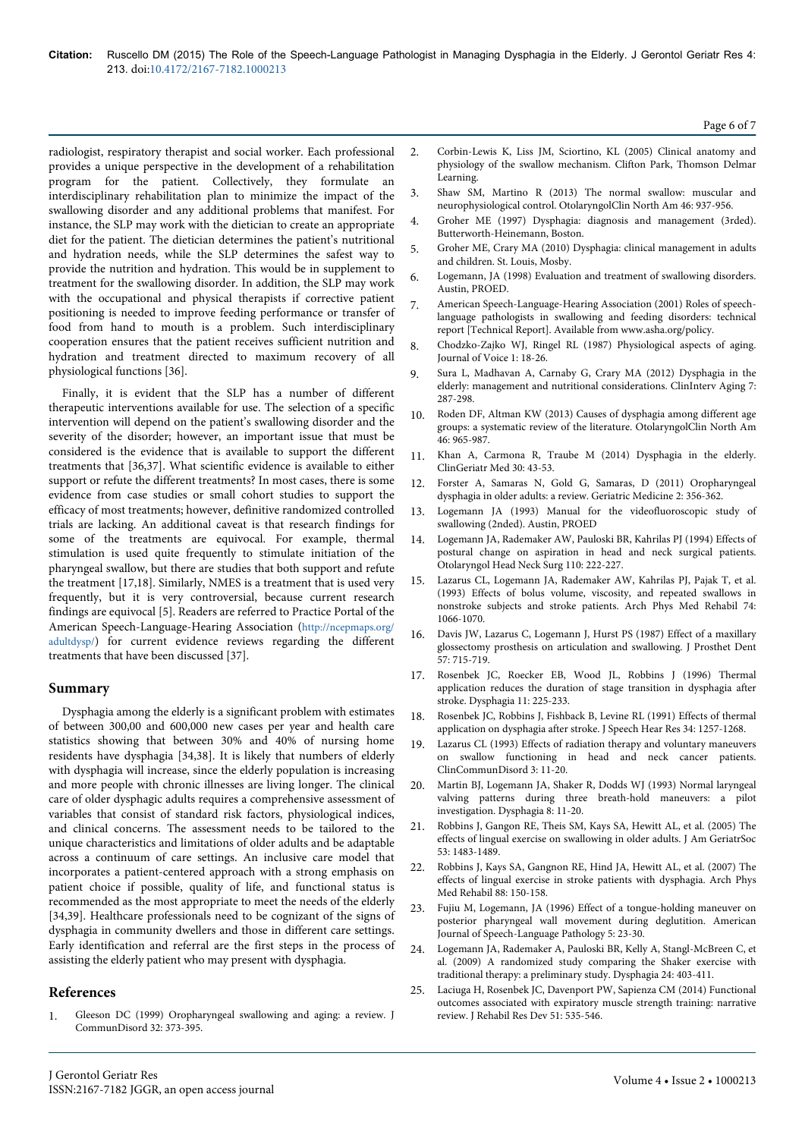radiologist, respiratory therapist and social worker. Each professional provides a unique perspective in the development of a rehabilitation program for the patient. Collectively, they formulate an interdisciplinary rehabilitation plan to minimize the impact of the swallowing disorder and any additional problems that manifest. For instance, the SLP may work with the dietician to create an appropriate diet for the patient. The dietician determines the patient's nutritional and hydration needs, while the SLP determines the safest way to provide the nutrition and hydration. This would be in supplement to treatment for the swallowing disorder. In addition, the SLP may work with the occupational and physical therapists if corrective patient positioning is needed to improve feeding performance or transfer of food from hand to mouth is a problem. Such interdisciplinary cooperation ensures that the patient receives sufficient nutrition and hydration and treatment directed to maximum recovery of all physiological functions [36].

Finally, it is evident that the SLP has a number of different therapeutic interventions available for use. The selection of a specific intervention will depend on the patient's swallowing disorder and the severity of the disorder; however, an important issue that must be considered is the evidence that is available to support the different treatments that [36,37]. What scientific evidence is available to either support or refute the different treatments? In most cases, there is some evidence from case studies or small cohort studies to support the efficacy of most treatments; however, definitive randomized controlled trials are lacking. An additional caveat is that research findings for some of the treatments are equivocal. For example, thermal stimulation is used quite frequently to stimulate initiation of the pharyngeal swallow, but there are studies that both support and refute the treatment [17,18]. Similarly, NMES is a treatment that is used very frequently, but it is very controversial, because current research findings are equivocal [5]. Readers are referred to Practice Portal of the American Speech-Language-Hearing Association (http://ncepmaps.org/ adultdysp/) for current evidence reviews regarding the different treatments that have been discussed [37].

# **Summary**

Dysphagia among the elderly is a significant problem with estimates of between 300,00 and 600,000 new cases per year and health care statistics showing that between 30% and 40% of nursing home residents have dysphagia [34,38]. It is likely that numbers of elderly with dysphagia will increase, since the elderly population is increasing and more people with chronic illnesses are living longer. The clinical care of older dysphagic adults requires a comprehensive assessment of variables that consist of standard risk factors, physiological indices, and clinical concerns. The assessment needs to be tailored to the unique characteristics and limitations of older adults and be adaptable across a continuum of care settings. An inclusive care model that incorporates a patient-centered approach with a strong emphasis on patient choice if possible, quality of life, and functional status is recommended as the most appropriate to meet the needs of the elderly [34,39]. Healthcare professionals need to be cognizant of the signs of dysphagia in community dwellers and those in different care settings. Early identification and referral are the first steps in the process of assisting the elderly patient who may present with dysphagia.

# **References**

1. Gleeson DC (1999) Oropharyngeal swallowing and aging: a review. J CommunDisord 32: 373-395.

- 2. Corbin-Lewis K, Liss JM, Sciortino, KL (2005) Clinical anatomy and physiology of the swallow mechanism. Clifton Park, Thomson Delmar Learning.
- 3. Shaw SM, Martino R (2013) The normal swallow: muscular and neurophysiological control. OtolaryngolClin North Am 46: 937-956.
- 4. Groher ME (1997) Dysphagia: diagnosis and management (3rded). Butterworth-Heinemann, Boston.
- 5. Groher ME, Crary MA (2010) Dysphagia: clinical management in adults and children. St. Louis, Mosby.
- 6. Logemann, JA (1998) Evaluation and treatment of swallowing disorders. Austin, PROED.
- 7. American Speech-Language-Hearing Association (2001) Roles of speechlanguage pathologists in swallowing and feeding disorders: technical report [Technical Report]. Available from www.asha.org/policy.
- 8. Chodzko-Zajko WJ, Ringel RL (1987) Physiological aspects of aging. Journal of Voice 1: 18-26.
- 9. Sura L, Madhavan A, Carnaby G, Crary MA (2012) Dysphagia in the elderly: management and nutritional considerations. ClinInterv Aging 7: 287-298.
- 10. Roden DF, Altman KW (2013) Causes of dysphagia among different age groups: a systematic review of the literature. OtolaryngolClin North Am 46: 965-987.
- 11. Khan A, Carmona R, Traube M (2014) Dysphagia in the elderly. ClinGeriatr Med 30: 43-53.
- 12. Forster A, Samaras N, Gold G, Samaras, D (2011) Oropharyngeal dysphagia in older adults: a review. Geriatric Medicine 2: 356-362.
- 13. Logemann JA (1993) Manual for the videofluoroscopic study of swallowing (2nded). Austin, PROED
- 14. Logemann JA, Rademaker AW, Pauloski BR, Kahrilas PJ (1994) Effects of postural change on aspiration in head and neck surgical patients. Otolaryngol Head Neck Surg 110: 222-227.
- 15. Lazarus CL, Logemann JA, Rademaker AW, Kahrilas PJ, Pajak T, et al. (1993) Effects of bolus volume, viscosity, and repeated swallows in nonstroke subjects and stroke patients. Arch Phys Med Rehabil 74: 1066-1070.
- 16. Davis JW, Lazarus C, Logemann J, Hurst PS (1987) Effect of a maxillary glossectomy prosthesis on articulation and swallowing. J Prosthet Dent 57: 715-719.
- 17. Rosenbek JC, Roecker EB, Wood JL, Robbins J (1996) Thermal application reduces the duration of stage transition in dysphagia after stroke. Dysphagia 11: 225-233.
- 18. Rosenbek JC, Robbins J, Fishback B, Levine RL (1991) Effects of thermal application on dysphagia after stroke. J Speech Hear Res 34: 1257-1268.
- 19. Lazarus CL (1993) Effects of radiation therapy and voluntary maneuvers on swallow functioning in head and neck cancer patients. ClinCommunDisord 3: 11-20.
- 20. Martin BJ, Logemann JA, Shaker R, Dodds WJ (1993) Normal laryngeal valving patterns during three breath-hold maneuvers: a pilot investigation. Dysphagia 8: 11-20.
- 21. Robbins J, Gangon RE, Theis SM, Kays SA, Hewitt AL, et al. (2005) The effects of lingual exercise on swallowing in older adults. J Am GeriatrSoc 53: 1483-1489.
- 22. Robbins J, Kays SA, Gangnon RE, Hind JA, Hewitt AL, et al. (2007) The effects of lingual exercise in stroke patients with dysphagia. Arch Phys Med Rehabil 88: 150-158.
- 23. Fujiu M, Logemann, JA (1996) Effect of a tongue-holding maneuver on posterior pharyngeal wall movement during deglutition. American Journal of Speech-Language Pathology 5: 23-30.
- 24. Logemann JA, Rademaker A, Pauloski BR, Kelly A, Stangl-McBreen C, et al. (2009) A randomized study comparing the Shaker exercise with traditional therapy: a preliminary study. Dysphagia 24: 403-411.
- 25. Laciuga H, Rosenbek JC, Davenport PW, Sapienza CM (2014) Functional outcomes associated with expiratory muscle strength training: narrative review. J Rehabil Res Dev 51: 535-546.